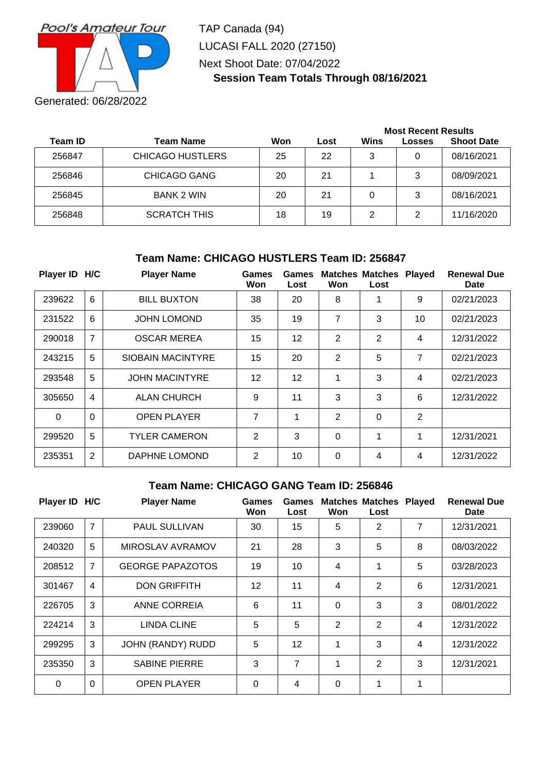

TAP Canada (94) LUCASI FALL 2020 (27150) Next Shoot Date: 07/04/2022 **Session Team Totals Through 08/16/2021**

|         |                         |     |      | <b>Most Recent Results</b> |        |                   |  |  |
|---------|-------------------------|-----|------|----------------------------|--------|-------------------|--|--|
| Team ID | <b>Team Name</b>        | Won | Lost | Wins                       | Losses | <b>Shoot Date</b> |  |  |
| 256847  | <b>CHICAGO HUSTLERS</b> | 25  | 22   | 3                          | 0      | 08/16/2021        |  |  |
| 256846  | <b>CHICAGO GANG</b>     | 20  | 21   |                            | 3      | 08/09/2021        |  |  |
| 256845  | <b>BANK 2 WIN</b>       | 20  | 21   | 0                          | 3      | 08/16/2021        |  |  |
| 256848  | <b>SCRATCH THIS</b>     | 18  | 19   | 2                          | 2      | 11/16/2020        |  |  |

## **Team Name: CHICAGO HUSTLERS Team ID: 256847**

| Player ID H/C |                | <b>Player Name</b>       | Games<br>Won      | Games<br>Lost     | Won            | <b>Matches Matches</b><br>Lost | <b>Played</b>  | <b>Renewal Due</b><br>Date |
|---------------|----------------|--------------------------|-------------------|-------------------|----------------|--------------------------------|----------------|----------------------------|
| 239622        | 6              | <b>BILL BUXTON</b>       | 38                | 20                | 8              | 1                              | 9              | 02/21/2023                 |
| 231522        | 6              | <b>JOHN LOMOND</b>       | 35                | 19                | 7              | 3                              | 10             | 02/21/2023                 |
| 290018        | 7              | <b>OSCAR MEREA</b>       | 15                | 12                | 2              | 2                              | 4              | 12/31/2022                 |
| 243215        | 5              | <b>SIOBAIN MACINTYRE</b> | 15                | 20                | 2              | 5                              | 7              | 02/21/2023                 |
| 293548        | 5              | <b>JOHN MACINTYRE</b>    | $12 \overline{ }$ | $12 \overline{ }$ | 1              | 3                              | 4              | 02/21/2023                 |
| 305650        | $\overline{4}$ | <b>ALAN CHURCH</b>       | 9                 | 11                | 3              | 3                              | 6              | 12/31/2022                 |
| $\Omega$      | $\Omega$       | <b>OPEN PLAYER</b>       | 7                 | $\mathbf 1$       | 2              | 0                              | $\overline{2}$ |                            |
| 299520        | 5              | <b>TYLER CAMERON</b>     | $\overline{2}$    | 3                 | $\overline{0}$ | 1                              | 1              | 12/31/2021                 |
| 235351        | 2              | DAPHNE LOMOND            | $\overline{2}$    | 10                | $\mathbf{0}$   | 4                              | 4              | 12/31/2022                 |

#### **Team Name: CHICAGO GANG Team ID: 256846**

| Player ID H/C |                | <b>Player Name</b>      | Games<br>Won | Games<br>Lost   | Won            | <b>Matches Matches</b><br>Lost | <b>Played</b>  | <b>Renewal Due</b><br><b>Date</b> |
|---------------|----------------|-------------------------|--------------|-----------------|----------------|--------------------------------|----------------|-----------------------------------|
| 239060        | $\overline{7}$ | <b>PAUL SULLIVAN</b>    | 30           | 15              | 5              | 2                              | 7              | 12/31/2021                        |
| 240320        | 5              | MIROSLAV AVRAMOV        | 21           | 28              | 3              | 5                              | 8              | 08/03/2022                        |
| 208512        | 7              | <b>GEORGE PAPAZOTOS</b> | 19           | 10 <sup>1</sup> | 4              | 1                              | 5              | 03/28/2023                        |
| 301467        | $\overline{4}$ | <b>DON GRIFFITH</b>     | 12           | 11              | 4              | 2                              | 6              | 12/31/2021                        |
| 226705        | 3              | ANNE CORREIA            | 6            | 11              | $\Omega$       | 3                              | 3              | 08/01/2022                        |
| 224214        | 3              | <b>LINDA CLINE</b>      | 5            | 5               | $\overline{2}$ | $\overline{2}$                 | $\overline{4}$ | 12/31/2022                        |
| 299295        | 3              | JOHN (RANDY) RUDD       | 5            | 12              | 1              | 3                              | $\overline{4}$ | 12/31/2022                        |
| 235350        | 3              | <b>SABINE PIERRE</b>    | 3            | $\overline{7}$  | 1              | $\overline{2}$                 | 3              | 12/31/2021                        |
| $\Omega$      | $\Omega$       | <b>OPEN PLAYER</b>      | $\Omega$     | 4               | $\Omega$       | 1                              | 1              |                                   |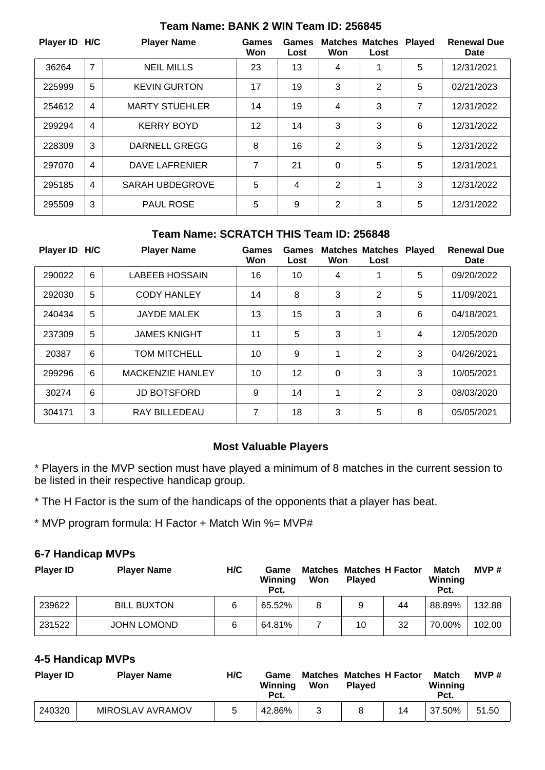| Player ID H/C |                | <b>Player Name</b>     | Games<br>Won | Games<br>Lost | Won | <b>Matches Matches</b><br>Lost | <b>Played</b> | <b>Renewal Due</b><br><b>Date</b> |
|---------------|----------------|------------------------|--------------|---------------|-----|--------------------------------|---------------|-----------------------------------|
| 36264         | $\overline{7}$ | <b>NEIL MILLS</b>      | 23           | 13            | 4   | 1                              | 5             | 12/31/2021                        |
| 225999        | 5              | <b>KEVIN GURTON</b>    | 17           | 19            | 3   | 2                              | 5             | 02/21/2023                        |
| 254612        | 4              | <b>MARTY STUEHLER</b>  | 14           | 19            | 4   | 3                              | 7             | 12/31/2022                        |
| 299294        | 4              | <b>KERRY BOYD</b>      | 12           | 14            | 3   | 3                              | 6             | 12/31/2022                        |
| 228309        | 3              | <b>DARNELL GREGG</b>   | 8            | 16            | 2   | 3                              | 5             | 12/31/2022                        |
| 297070        | 4              | <b>DAVE LAFRENIER</b>  | 7            | 21            | 0   | 5                              | 5             | 12/31/2021                        |
| 295185        | 4              | <b>SARAH UBDEGROVE</b> | 5            | 4             | 2   | 1                              | 3             | 12/31/2022                        |
| 295509        | 3              | <b>PAUL ROSE</b>       | 5            | 9             | 2   | 3                              | 5             | 12/31/2022                        |

## **Team Name: BANK 2 WIN Team ID: 256845**

#### **Team Name: SCRATCH THIS Team ID: 256848**

| Player ID H/C |   | <b>Player Name</b>      | Games<br>Won | Games<br>Lost | Won | <b>Matches Matches</b><br>Lost | <b>Played</b> | <b>Renewal Due</b><br>Date |
|---------------|---|-------------------------|--------------|---------------|-----|--------------------------------|---------------|----------------------------|
| 290022        | 6 | <b>LABEEB HOSSAIN</b>   | 16           | 10            | 4   |                                | 5             | 09/20/2022                 |
| 292030        | 5 | <b>CODY HANLEY</b>      | 14           | 8             | 3   | 2                              | 5             | 11/09/2021                 |
| 240434        | 5 | <b>JAYDE MALEK</b>      | 13           | 15            | 3   | 3                              | 6             | 04/18/2021                 |
| 237309        | 5 | <b>JAMES KNIGHT</b>     | 11           | 5             | 3   | 1                              | 4             | 12/05/2020                 |
| 20387         | 6 | <b>TOM MITCHELL</b>     | 10           | 9             | 1   | 2                              | 3             | 04/26/2021                 |
| 299296        | 6 | <b>MACKENZIE HANLEY</b> | 10           | 12            | 0   | 3                              | 3             | 10/05/2021                 |
| 30274         | 6 | <b>JD BOTSFORD</b>      | 9            | 14            | 1   | $\overline{2}$                 | 3             | 08/03/2020                 |
| 304171        | 3 | <b>RAY BILLEDEAU</b>    | 7            | 18            | 3   | 5                              | 8             | 05/05/2021                 |

### **Most Valuable Players**

\* Players in the MVP section must have played a minimum of 8 matches in the current session to be listed in their respective handicap group.

\* The H Factor is the sum of the handicaps of the opponents that a player has beat.

\* MVP program formula: H Factor + Match Win %= MVP#

## **6-7 Handicap MVPs**

| <b>Player ID</b> | <b>Player Name</b> | H/C | Game<br>Winning<br>Pct. | Matches<br>Won | <b>Matches H Factor</b><br><b>Plaved</b> |    | Match<br><b>Winning</b><br>Pct. | MVP#   |
|------------------|--------------------|-----|-------------------------|----------------|------------------------------------------|----|---------------------------------|--------|
| 239622           | <b>BILL BUXTON</b> | 6   | 65.52%                  | 8              | 9                                        | 44 | 88.89%                          | 132.88 |
| 231522           | <b>JOHN LOMOND</b> | 6   | 64.81%                  |                | 10                                       | 32 | 70.00%                          | 102.00 |

### **4-5 Handicap MVPs**

| <b>Player ID</b> | <b>Player Name</b> | H/C | Game<br>Winning<br>Pct. | <b>Matches Matches H Factor</b><br>Won | <b>Plaved</b> |    | <b>Match</b><br>Winning<br>Pct. | MVP#  |
|------------------|--------------------|-----|-------------------------|----------------------------------------|---------------|----|---------------------------------|-------|
| 240320           | MIROSLAV AVRAMOV   | b   | 42.86%                  |                                        |               | 14 | 37.50%                          | 51.50 |